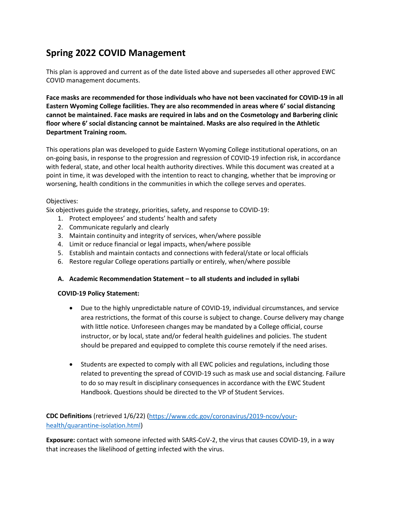# **Spring 2022 COVID Management**

This plan is approved and current as of the date listed above and supersedes all other approved EWC COVID management documents.

**Face masks are recommended for those individuals who have not been vaccinated for COVID-19 in all Eastern Wyoming College facilities. They are also recommended in areas where 6' social distancing cannot be maintained. Face masks are required in labs and on the Cosmetology and Barbering clinic floor where 6' social distancing cannot be maintained. Masks are also required in the Athletic Department Training room.**

This operations plan was developed to guide Eastern Wyoming College institutional operations, on an on-going basis, in response to the progression and regression of COVID-19 infection risk, in accordance with federal, state, and other local health authority directives. While this document was created at a point in time, it was developed with the intention to react to changing, whether that be improving or worsening, health conditions in the communities in which the college serves and operates.

### Objectives:

Six objectives guide the strategy, priorities, safety, and response to COVID-19:

- 1. Protect employees' and students' health and safety
- 2. Communicate regularly and clearly
- 3. Maintain continuity and integrity of services, when/where possible
- 4. Limit or reduce financial or legal impacts, when/where possible
- 5. Establish and maintain contacts and connections with federal/state or local officials
- 6. Restore regular College operations partially or entirely, when/where possible

### **A. Academic Recommendation Statement – to all students and included in syllabi**

### **COVID-19 Policy Statement:**

- Due to the highly unpredictable nature of COVID-19, individual circumstances, and service area restrictions, the format of this course is subject to change. Course delivery may change with little notice. Unforeseen changes may be mandated by a College official, course instructor, or by local, state and/or federal health guidelines and policies. The student should be prepared and equipped to complete this course remotely if the need arises.
- Students are expected to comply with all EWC policies and regulations, including those related to preventing the spread of COVID-19 such as mask use and social distancing. Failure to do so may result in disciplinary consequences in accordance with the EWC Student Handbook. Questions should be directed to the VP of Student Services.

**CDC Definitions** (retrieved 1/6/22) [\(https://www.cdc.gov/coronavirus/2019-ncov/your](https://www.cdc.gov/coronavirus/2019-ncov/your-health/quarantine-isolation.html)[health/quarantine-isolation.html\)](https://www.cdc.gov/coronavirus/2019-ncov/your-health/quarantine-isolation.html)

**Exposure:** contact with someone infected with SARS-CoV-2, the virus that causes COVID-19, in a way that increases the likelihood of getting infected with the virus.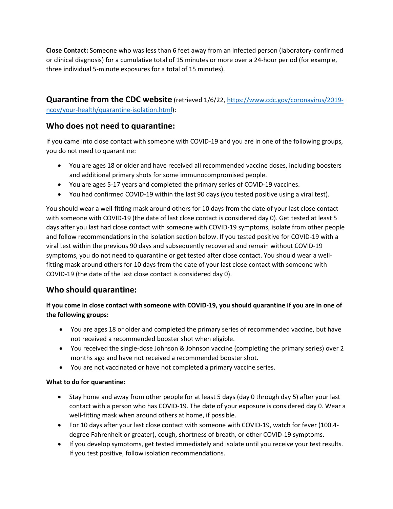**Close Contact:** Someone who was less than 6 feet away from an infected person (laboratory-confirmed or clinical diagnosis) for a cumulative total of 15 minutes or more over a 24-hour period (for example, three individual 5-minute exposures for a total of 15 minutes).

**Quarantine from the CDC website** (retrieved 1/6/22[, https://www.cdc.gov/coronavirus/2019](https://www.cdc.gov/coronavirus/2019-ncov/your-health/quarantine-isolation.html) [ncov/your-health/quarantine-isolation.html\)](https://www.cdc.gov/coronavirus/2019-ncov/your-health/quarantine-isolation.html):

# **Who does not need to quarantine:**

If you came into close contact with someone with COVID-19 and you are in one of the following groups, you do not need to quarantine:

- You are ages 18 or older and have received all recommended vaccine doses, including boosters and additional primary shots for some immunocompromised people.
- You are ages 5-17 years and completed the primary series of COVID-19 vaccines.
- You had confirmed COVID-19 within the last 90 days (you tested positive using a viral test).

You should wear a well-fitting mask around others for 10 days from the date of your last close contact with someone with COVID-19 (the date of last close contact is considered day 0). Get tested at least 5 days after you last had close contact with someone with COVID-19 symptoms, isolate from other people and follow recommendations in the isolation section below. If you tested positive for COVID-19 with a viral test within the previous 90 days and subsequently recovered and remain without COVID-19 symptoms, you do not need to quarantine or get tested after close contact. You should wear a wellfitting mask around others for 10 days from the date of your last close contact with someone with COVID-19 (the date of the last close contact is considered day 0).

# **Who should quarantine:**

**If you come in close contact with someone with COVID-19, you should quarantine if you are in one of the following groups:**

- You are ages 18 or older and completed the primary series of recommended vaccine, but have not received a recommended booster shot when eligible.
- You received the single-dose Johnson & Johnson vaccine (completing the primary series) over 2 months ago and have not received a recommended booster shot.
- You are not vaccinated or have not completed a primary vaccine series.

## **What to do for quarantine:**

- Stay home and away from other people for at least 5 days (day 0 through day 5) after your last contact with a person who has COVID-19. The date of your exposure is considered day 0. Wear a well-fitting mask when around others at home, if possible.
- For 10 days after your last close contact with someone with COVID-19, watch for fever (100.4 degree Fahrenheit or greater), cough, shortness of breath, or other COVID-19 symptoms.
- If you develop symptoms, get tested immediately and isolate until you receive your test results. If you test positive, follow isolation recommendations.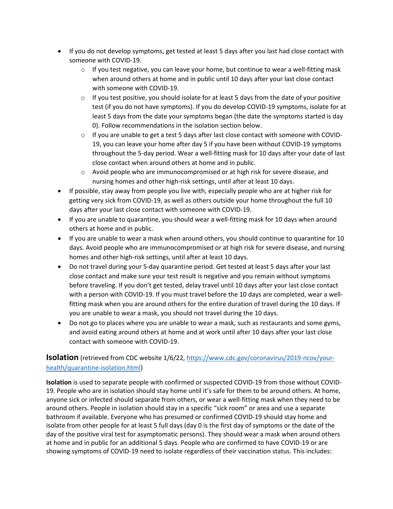- If you do not develop symptoms, get tested at least 5 days after you last had close contact with someone with COVID-19.
	- $\circ$  If you test negative, you can leave your home, but continue to wear a well-fitting mask when around others at home and in public until 10 days after your last close contact with someone with COVID-19.
	- $\circ$  If you test positive, you should isolate for at least 5 days from the date of your positive test (if you do not have symptoms). If you do develop COVID-19 symptoms, isolate for at least 5 days from the date your symptoms began (the date the symptoms started is day 0). Follow recommendations in the isolation section below.
	- $\circ$  If you are unable to get a test 5 days after last close contact with someone with COVID-19, you can leave your home after day 5 if you have been without COVID-19 symptoms throughout the 5-day period. Wear a well-fitting mask for 10 days after your date of last close contact when around others at home and in public.
	- $\circ$  Avoid people who are immunocompromised or at high risk for severe disease, and nursing homes and other high-risk settings, until after at least 10 days.
- If possible, stay away from people you live with, especially people who are at higher risk for getting very sick from COVID-19, as well as others outside your home throughout the full 10 days after your last close contact with someone with COVID-19.
- If you are unable to quarantine, you should wear a well-fitting mask for 10 days when around others at home and in public.
- If you are unable to wear a mask when around others, you should continue to quarantine for 10 days. Avoid people who are immunocompromised or at high risk for severe disease, and nursing homes and other high-risk settings, until after at least 10 days.
- Do not travel during your 5-day quarantine period. Get tested at least 5 days after your last close contact and make sure your test result is negative and you remain without symptoms before traveling. If you don't get tested, delay travel until 10 days after your last close contact with a person with COVID-19. If you must travel before the 10 days are completed, wear a wellfitting mask when you are around others for the entire duration of travel during the 10 days. If you are unable to wear a mask, you should not travel during the 10 days.
- Do not go to places where you are unable to wear a mask, such as restaurants and some gyms, and avoid eating around others at home and at work until after 10 days after your last close contact with someone with COVID-19.

# **Isolation** (retrieved from CDC website 1/6/22[, https://www.cdc.gov/coronavirus/2019-ncov/your](https://www.cdc.gov/coronavirus/2019-ncov/your-health/quarantine-isolation.html)[health/quarantine-isolation.html\)](https://www.cdc.gov/coronavirus/2019-ncov/your-health/quarantine-isolation.html)

**Isolation** is used to separate people with confirmed or suspected COVID-19 from those without COVID-19. People who are in isolation should stay home until it's safe for them to be around others. At home, anyone sick or infected should separate from others, or wear a well-fitting mask when they need to be around others. People in isolation should stay in a specific "sick room" or area and use a separate bathroom if available. Everyone who has presumed or confirmed COVID-19 should stay home and isolate from other people for at least 5 full days (day 0 is the first day of symptoms or the date of the day of the positive viral test for asymptomatic persons). They should wear a mask when around others at home and in public for an additional 5 days. People who are confirmed to have COVID-19 or are showing symptoms of COVID-19 need to isolate regardless of their vaccination status. This includes: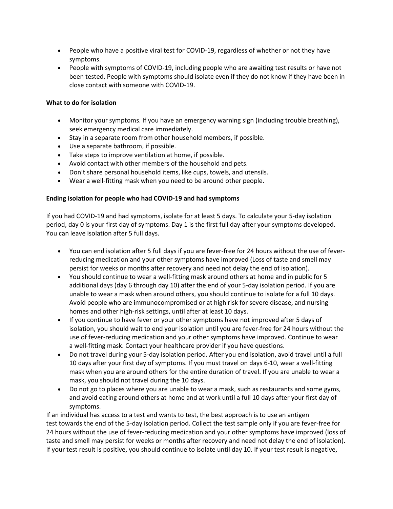- People who have a positive viral test for COVID-19, regardless of whether or not they have symptoms.
- People with symptoms of COVID-19, including people who are awaiting test results or have not been tested. People with symptoms should isolate even if they do not know if they have been in close contact with someone with COVID-19.

### **What to do for isolation**

- Monitor your symptoms. If you have an emergency warning sign (including trouble breathing), seek emergency medical care immediately.
- Stay in a separate room from other household members, if possible.
- Use a separate bathroom, if possible.
- Take steps to improve ventilation at home, if possible.
- Avoid contact with other members of the household and pets.
- Don't share personal household items, like cups, towels, and utensils.
- Wear a well-fitting mask when you need to be around other people.

### **Ending isolation for people who had COVID-19 and had symptoms**

If you had COVID-19 and had symptoms, isolate for at least 5 days. To calculate your 5-day isolation period, day 0 is your first day of symptoms. Day 1 is the first full day after your symptoms developed. You can leave isolation after 5 full days.

- You can end isolation after 5 full days if you are fever-free for 24 hours without the use of feverreducing medication and your other symptoms have improved (Loss of taste and smell may persist for weeks or months after recovery and need not delay the end of isolation).
- You should continue to wear a well-fitting mask around others at home and in public for 5 additional days (day 6 through day 10) after the end of your 5-day isolation period. If you are unable to wear a mask when around others, you should continue to isolate for a full 10 days. Avoid people who are immunocompromised or at high risk for severe disease, and nursing homes and other high-risk settings, until after at least 10 days.
- If you continue to have fever or your other symptoms have not improved after 5 days of isolation, you should wait to end your isolation until you are fever-free for 24 hours without the use of fever-reducing medication and your other symptoms have improved. Continue to wear a well-fitting mask. Contact your healthcare provider if you have questions.
- Do not travel during your 5-day isolation period. After you end isolation, avoid travel until a full 10 days after your first day of symptoms. If you must travel on days 6-10, wear a well-fitting mask when you are around others for the entire duration of travel. If you are unable to wear a mask, you should not travel during the 10 days.
- Do not go to places where you are unable to wear a mask, such as restaurants and some gyms, and avoid eating around others at home and at work until a full 10 days after your first day of symptoms.

If an individual has access to a test and wants to test, the best approach is to use an antigen test towards the end of the 5-day isolation period. Collect the test sample only if you are fever-free for 24 hours without the use of fever-reducing medication and your other symptoms have improved (loss of taste and smell may persist for weeks or months after recovery and need not delay the end of isolation). If your test result is positive, you should continue to isolate until day 10. If your test result is negative,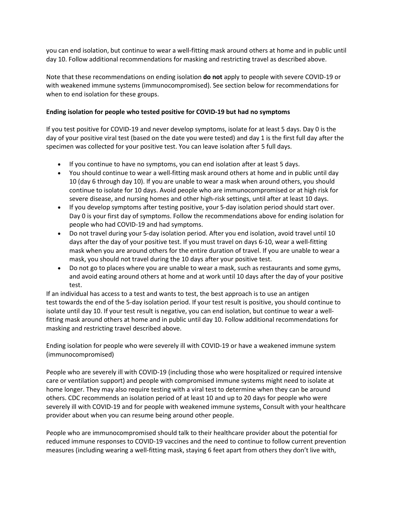you can end isolation, but continue to wear a well-fitting mask around others at home and in public until day 10. Follow additional recommendations for masking and restricting travel as described above.

Note that these recommendations on ending isolation **do not** apply to people with severe COVID-19 or with weakened immune systems (immunocompromised). See section below for recommendations for when to end isolation for these groups.

### **Ending isolation for people who tested positive for COVID-19 but had no symptoms**

If you test positive for COVID-19 and never develop symptoms, isolate for at least 5 days. Day 0 is the day of your positive viral test (based on the date you were tested) and day 1 is the first full day after the specimen was collected for your positive test. You can leave isolation after 5 full days.

- If you continue to have no symptoms, you can end isolation after at least 5 days.
- You should continue to wear a well-fitting mask around others at home and in public until day 10 (day 6 through day 10). If you are unable to wear a mask when around others, you should continue to isolate for 10 days. Avoid people who are immunocompromised or at high risk for severe disease, and nursing homes and other high-risk settings, until after at least 10 days.
- If you develop symptoms after testing positive, your 5-day isolation period should start over. Day 0 is your first day of symptoms. Follow the recommendations above for ending isolation for people who had COVID-19 and had symptoms.
- Do not travel during your 5-day isolation period. After you end isolation, avoid travel until 10 days after the day of your positive test. If you must travel on days 6-10, wear a well-fitting mask when you are around others for the entire duration of travel. If you are unable to wear a mask, you should not travel during the 10 days after your positive test.
- Do not go to places where you are unable to wear a mask, such as restaurants and some gyms, and avoid eating around others at home and at work until 10 days after the day of your positive test.

If an individual has access to a test and wants to test, the best approach is to use an antigen test towards the end of the 5-day isolation period. If your test result is positive, you should continue to isolate until day 10. If your test result is negative, you can end isolation, but continue to wear a wellfitting mask around others at home and in public until day 10. Follow additional recommendations for masking and restricting travel described above.

Ending isolation for people who were severely ill with COVID-19 or have a weakened immune system (immunocompromised)

People who are severely ill with COVID-19 (including those who were hospitalized or required intensive care or ventilation support) and people with compromised immune systems might need to isolate at home longer. They may also require testing with a viral test to determine when they can be around others. CDC recommends an isolation period of at least 10 and up to 20 days for people who were severely ill with COVID-19 and for people with weakened immune systems. Consult with your healthcare provider about when you can resume being around other people.

People who are immunocompromised should talk to their healthcare provider about the potential for reduced immune responses to COVID-19 vaccines and the need to continue to follow current prevention measures (including wearing a well-fitting mask, staying 6 feet apart from others they don't live with,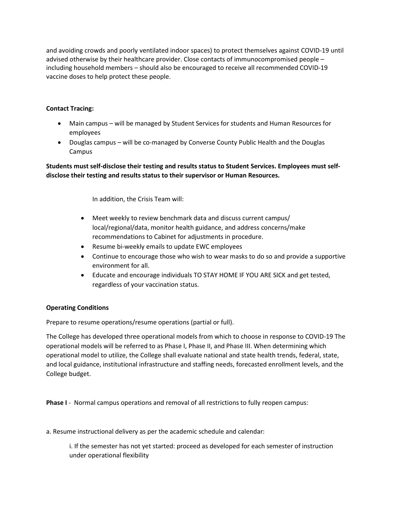and avoiding crowds and poorly ventilated indoor spaces) to protect themselves against COVID-19 until advised otherwise by their healthcare provider. Close contacts of immunocompromised people – including household members – should also be encouraged to receive all recommended COVID-19 vaccine doses to help protect these people.

### **Contact Tracing:**

- Main campus will be managed by Student Services for students and Human Resources for employees
- Douglas campus will be co-managed by Converse County Public Health and the Douglas Campus

**Students must self-disclose their testing and results status to Student Services. Employees must selfdisclose their testing and results status to their supervisor or Human Resources.**

In addition, the Crisis Team will:

- Meet weekly to review benchmark data and discuss current campus/ local/regional/data, monitor health guidance, and address concerns/make recommendations to Cabinet for adjustments in procedure.
- Resume bi-weekly emails to update EWC employees
- Continue to encourage those who wish to wear masks to do so and provide a supportive environment for all.
- Educate and encourage individuals TO STAY HOME IF YOU ARE SICK and get tested, regardless of your vaccination status.

### **Operating Conditions**

Prepare to resume operations/resume operations (partial or full).

The College has developed three operational models from which to choose in response to COVID-19 The operational models will be referred to as Phase I, Phase II, and Phase III. When determining which operational model to utilize, the College shall evaluate national and state health trends, federal, state, and local guidance, institutional infrastructure and staffing needs, forecasted enrollment levels, and the College budget.

**Phase I** - Normal campus operations and removal of all restrictions to fully reopen campus:

a. Resume instructional delivery as per the academic schedule and calendar:

i. If the semester has not yet started: proceed as developed for each semester of instruction under operational flexibility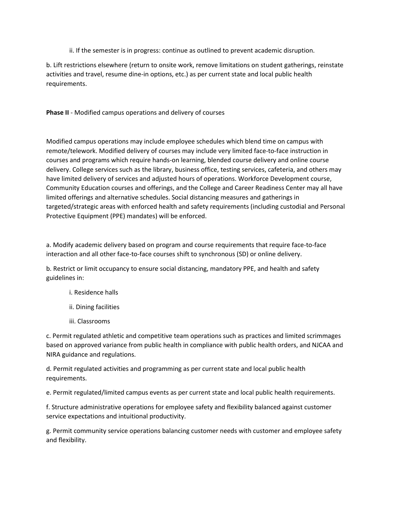ii. If the semester is in progress: continue as outlined to prevent academic disruption.

b. Lift restrictions elsewhere (return to onsite work, remove limitations on student gatherings, reinstate activities and travel, resume dine-in options, etc.) as per current state and local public health requirements.

**Phase II** - Modified campus operations and delivery of courses

Modified campus operations may include employee schedules which blend time on campus with remote/telework. Modified delivery of courses may include very limited face-to-face instruction in courses and programs which require hands-on learning, blended course delivery and online course delivery. College services such as the library, business office, testing services, cafeteria, and others may have limited delivery of services and adjusted hours of operations. Workforce Development course, Community Education courses and offerings, and the College and Career Readiness Center may all have limited offerings and alternative schedules. Social distancing measures and gatherings in targeted/strategic areas with enforced health and safety requirements (including custodial and Personal Protective Equipment (PPE) mandates) will be enforced.

a. Modify academic delivery based on program and course requirements that require face-to-face interaction and all other face-to-face courses shift to synchronous (SD) or online delivery.

b. Restrict or limit occupancy to ensure social distancing, mandatory PPE, and health and safety guidelines in:

- i. Residence halls
- ii. Dining facilities
- iii. Classrooms

c. Permit regulated athletic and competitive team operations such as practices and limited scrimmages based on approved variance from public health in compliance with public health orders, and NJCAA and NIRA guidance and regulations.

d. Permit regulated activities and programming as per current state and local public health requirements.

e. Permit regulated/limited campus events as per current state and local public health requirements.

f. Structure administrative operations for employee safety and flexibility balanced against customer service expectations and intuitional productivity.

g. Permit community service operations balancing customer needs with customer and employee safety and flexibility.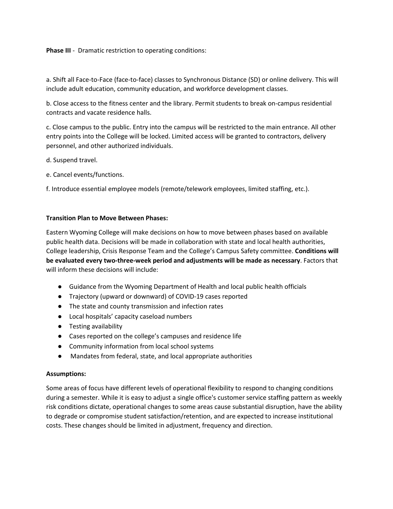**Phase III** - Dramatic restriction to operating conditions:

a. Shift all Face-to-Face (face-to-face) classes to Synchronous Distance (SD) or online delivery. This will include adult education, community education, and workforce development classes.

b. Close access to the fitness center and the library. Permit students to break on-campus residential contracts and vacate residence halls.

c. Close campus to the public. Entry into the campus will be restricted to the main entrance. All other entry points into the College will be locked. Limited access will be granted to contractors, delivery personnel, and other authorized individuals.

- d. Suspend travel.
- e. Cancel events/functions.

f. Introduce essential employee models (remote/telework employees, limited staffing, etc.).

#### **Transition Plan to Move Between Phases:**

Eastern Wyoming College will make decisions on how to move between phases based on available public health data. Decisions will be made in collaboration with state and local health authorities, College leadership, Crisis Response Team and the College's Campus Safety committee. **Conditions will be evaluated every two-three-week period and adjustments will be made as necessary**. Factors that will inform these decisions will include:

- Guidance from the Wyoming Department of Health and local public health officials
- Trajectory (upward or downward) of COVID-19 cases reported
- The state and county transmission and infection rates
- Local hospitals' capacity caseload numbers
- Testing availability
- Cases reported on the college's campuses and residence life
- Community information from local school systems
- Mandates from federal, state, and local appropriate authorities

#### **Assumptions:**

Some areas of focus have different levels of operational flexibility to respond to changing conditions during a semester. While it is easy to adjust a single office's customer service staffing pattern as weekly risk conditions dictate, operational changes to some areas cause substantial disruption, have the ability to degrade or compromise student satisfaction/retention, and are expected to increase institutional costs. These changes should be limited in adjustment, frequency and direction.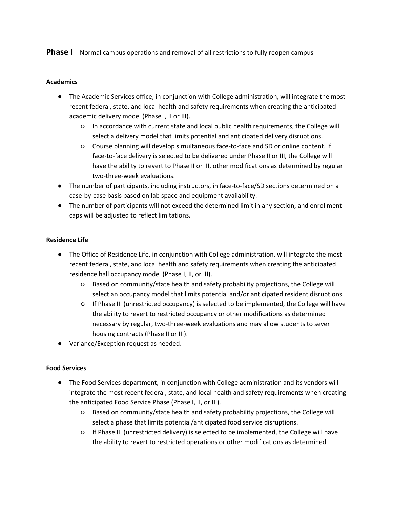**Phase I** - Normal campus operations and removal of all restrictions to fully reopen campus

#### **Academics**

- The Academic Services office, in conjunction with College administration, will integrate the most recent federal, state, and local health and safety requirements when creating the anticipated academic delivery model (Phase I, II or III).
	- In accordance with current state and local public health requirements, the College will select a delivery model that limits potential and anticipated delivery disruptions.
	- Course planning will develop simultaneous face-to-face and SD or online content. If face-to-face delivery is selected to be delivered under Phase II or III, the College will have the ability to revert to Phase II or III, other modifications as determined by regular two-three-week evaluations.
- The number of participants, including instructors, in face-to-face/SD sections determined on a case-by-case basis based on lab space and equipment availability.
- The number of participants will not exceed the determined limit in any section, and enrollment caps will be adjusted to reflect limitations.

### **Residence Life**

- The Office of Residence Life, in conjunction with College administration, will integrate the most recent federal, state, and local health and safety requirements when creating the anticipated residence hall occupancy model (Phase I, II, or III).
	- Based on community/state health and safety probability projections, the College will select an occupancy model that limits potential and/or anticipated resident disruptions.
	- If Phase III (unrestricted occupancy) is selected to be implemented, the College will have the ability to revert to restricted occupancy or other modifications as determined necessary by regular, two-three-week evaluations and may allow students to sever housing contracts (Phase II or III).
- Variance/Exception request as needed.

### **Food Services**

- The Food Services department, in conjunction with College administration and its vendors will integrate the most recent federal, state, and local health and safety requirements when creating the anticipated Food Service Phase (Phase I, II, or III).
	- Based on community/state health and safety probability projections, the College will select a phase that limits potential/anticipated food service disruptions.
	- If Phase III (unrestricted delivery) is selected to be implemented, the College will have the ability to revert to restricted operations or other modifications as determined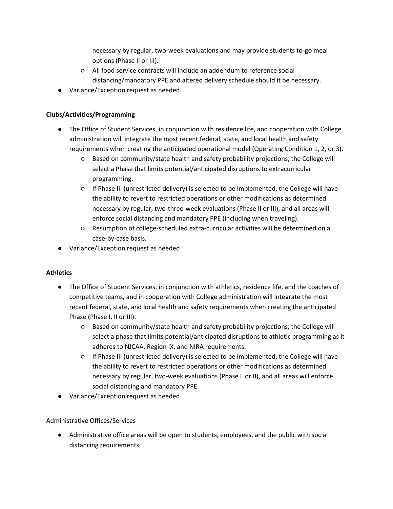necessary by regular, two-week evaluations and may provide students to-go meal options (Phase II or III).

- All food service contracts will include an addendum to reference social distancing/mandatory PPE and altered delivery schedule should it be necessary.
- Variance/Exception request as needed

# **Clubs/Activities/Programming**

- The Office of Student Services, in conjunction with residence life, and cooperation with College administration will integrate the most recent federal, state, and local health and safety requirements when creating the anticipated operational model (Operating Condition 1, 2, or 3).
	- Based on community/state health and safety probability projections, the College will select a Phase that limits potential/anticipated disruptions to extracurricular programming.
	- If Phase III (unrestricted delivery) is selected to be implemented, the College will have the ability to revert to restricted operations or other modifications as determined necessary by regular, two-three-week evaluations (Phase II or III), and all areas will enforce social distancing and mandatory PPE (including when traveling).
	- Resumption of college-scheduled extra-curricular activities will be determined on a case-by-case basis.
- Variance/Exception request as needed

# **Athletics**

- The Office of Student Services, in conjunction with athletics, residence life, and the coaches of competitive teams, and in cooperation with College administration will integrate the most recent federal, state, and local health and safety requirements when creating the anticipated Phase (Phase I, II or III).
	- Based on community/state health and safety probability projections, the College will select a phase that limits potential/anticipated disruptions to athletic programming as it adheres to NJCAA, Region IX, and NIRA requirements.
	- If Phase III (unrestricted delivery) is selected to be implemented, the College will have the ability to revert to restricted operations or other modifications as determined necessary by regular, two-week evaluations (Phase I or II), and all areas will enforce social distancing and mandatory PPE.
- Variance/Exception request as needed

# Administrative Offices/Services

● Administrative office areas will be open to students, employees, and the public with social distancing requirements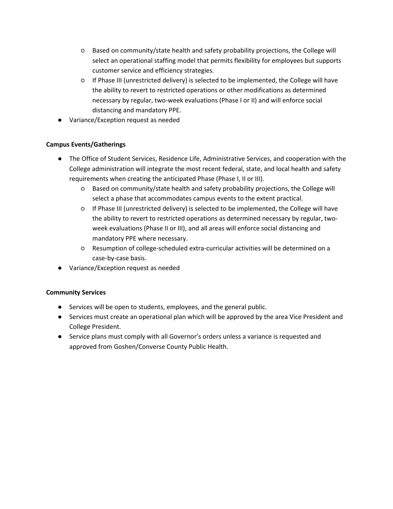- Based on community/state health and safety probability projections, the College will select an operational staffing model that permits flexibility for employees but supports customer service and efficiency strategies.
- If Phase III (unrestricted delivery) is selected to be implemented, the College will have the ability to revert to restricted operations or other modifications as determined necessary by regular, two-week evaluations (Phase I or II) and will enforce social distancing and mandatory PPE.
- Variance/Exception request as needed

# **Campus Events/Gatherings**

- The Office of Student Services, Residence Life, Administrative Services, and cooperation with the College administration will integrate the most recent federal, state, and local health and safety requirements when creating the anticipated Phase (Phase I, II or III).
	- Based on community/state health and safety probability projections, the College will select a phase that accommodates campus events to the extent practical.
	- If Phase III (unrestricted delivery) is selected to be implemented, the College will have the ability to revert to restricted operations as determined necessary by regular, twoweek evaluations (Phase II or III), and all areas will enforce social distancing and mandatory PPE where necessary.
	- Resumption of college-scheduled extra-curricular activities will be determined on a case-by-case basis.
- Variance/Exception request as needed

## **Community Services**

- Services will be open to students, employees, and the general public.
- Services must create an operational plan which will be approved by the area Vice President and College President.
- Service plans must comply with all Governor's orders unless a variance is requested and approved from Goshen/Converse County Public Health.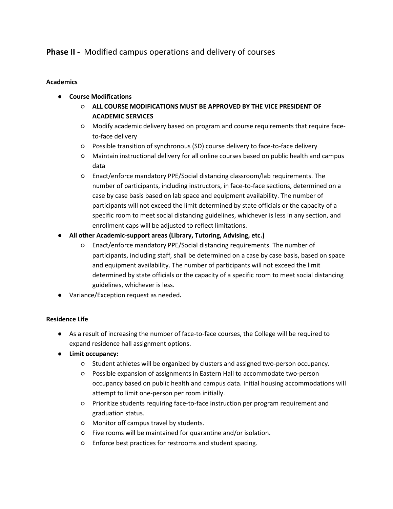# **Phase II -** Modified campus operations and delivery of courses

### **Academics**

- **Course Modifications**
	- **ALL COURSE MODIFICATIONS MUST BE APPROVED BY THE VICE PRESIDENT OF ACADEMIC SERVICES**
	- Modify academic delivery based on program and course requirements that require faceto-face delivery
	- Possible transition of synchronous (SD) course delivery to face-to-face delivery
	- Maintain instructional delivery for all online courses based on public health and campus data
	- Enact/enforce mandatory PPE/Social distancing classroom/lab requirements. The number of participants, including instructors, in face-to-face sections, determined on a case by case basis based on lab space and equipment availability. The number of participants will not exceed the limit determined by state officials or the capacity of a specific room to meet social distancing guidelines, whichever is less in any section, and enrollment caps will be adjusted to reflect limitations.
- **All other Academic-support areas (Library, Tutoring, Advising, etc.)**
	- Enact/enforce mandatory PPE/Social distancing requirements. The number of participants, including staff, shall be determined on a case by case basis, based on space and equipment availability. The number of participants will not exceed the limit determined by state officials or the capacity of a specific room to meet social distancing guidelines, whichever is less.
- Variance/Exception request as needed**.**

## **Residence Life**

- As a result of increasing the number of face-to-face courses, the College will be required to expand residence hall assignment options.
- **Limit occupancy:**
	- Student athletes will be organized by clusters and assigned two-person occupancy.
	- Possible expansion of assignments in Eastern Hall to accommodate two-person occupancy based on public health and campus data. Initial housing accommodations will attempt to limit one-person per room initially.
	- Prioritize students requiring face-to-face instruction per program requirement and graduation status.
	- Monitor off campus travel by students.
	- Five rooms will be maintained for quarantine and/or isolation.
	- Enforce best practices for restrooms and student spacing.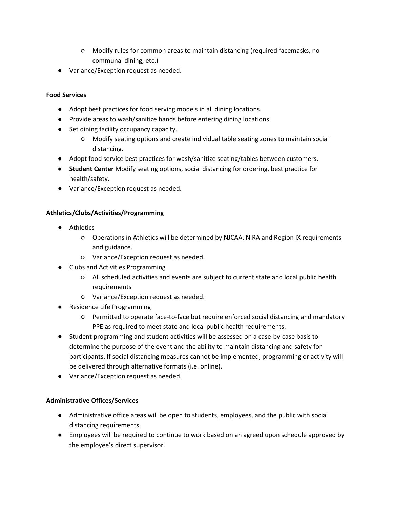- Modify rules for common areas to maintain distancing (required facemasks, no communal dining, etc.)
- Variance/Exception request as needed**.**

## **Food Services**

- Adopt best practices for food serving models in all dining locations.
- Provide areas to wash/sanitize hands before entering dining locations.
- Set dining facility occupancy capacity.
	- Modify seating options and create individual table seating zones to maintain social distancing.
- Adopt food service best practices for wash/sanitize seating/tables between customers.
- **Student Center** Modify seating options, social distancing for ordering, best practice for health/safety.
- Variance/Exception request as needed**.**

## **Athletics/Clubs/Activities/Programming**

- Athletics
	- Operations in Athletics will be determined by NJCAA, NIRA and Region IX requirements and guidance.
	- Variance/Exception request as needed.
- Clubs and Activities Programming
	- All scheduled activities and events are subject to current state and local public health requirements
	- Variance/Exception request as needed.
- Residence Life Programming
	- Permitted to operate face-to-face but require enforced social distancing and mandatory PPE as required to meet state and local public health requirements.
- Student programming and student activities will be assessed on a case-by-case basis to determine the purpose of the event and the ability to maintain distancing and safety for participants. If social distancing measures cannot be implemented, programming or activity will be delivered through alternative formats (i.e. online).
- Variance/Exception request as needed.

## **Administrative Offices/Services**

- Administrative office areas will be open to students, employees, and the public with social distancing requirements.
- Employees will be required to continue to work based on an agreed upon schedule approved by the employee's direct supervisor.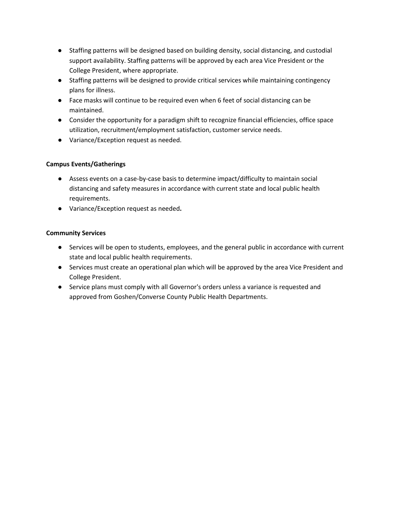- Staffing patterns will be designed based on building density, social distancing, and custodial support availability. Staffing patterns will be approved by each area Vice President or the College President, where appropriate.
- Staffing patterns will be designed to provide critical services while maintaining contingency plans for illness.
- Face masks will continue to be required even when 6 feet of social distancing can be maintained.
- Consider the opportunity for a paradigm shift to recognize financial efficiencies, office space utilization, recruitment/employment satisfaction, customer service needs.
- Variance/Exception request as needed.

## **Campus Events/Gatherings**

- Assess events on a case-by-case basis to determine impact/difficulty to maintain social distancing and safety measures in accordance with current state and local public health requirements.
- Variance/Exception request as needed**.**

### **Community Services**

- Services will be open to students, employees, and the general public in accordance with current state and local public health requirements.
- Services must create an operational plan which will be approved by the area Vice President and College President.
- Service plans must comply with all Governor's orders unless a variance is requested and approved from Goshen/Converse County Public Health Departments.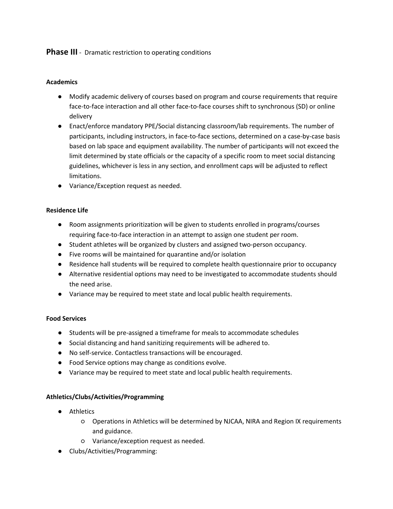# **Phase III** - Dramatic restriction to operating conditions

### **Academics**

- Modify academic delivery of courses based on program and course requirements that require face-to-face interaction and all other face-to-face courses shift to synchronous (SD) or online delivery
- Enact/enforce mandatory PPE/Social distancing classroom/lab requirements. The number of participants, including instructors, in face-to-face sections, determined on a case-by-case basis based on lab space and equipment availability. The number of participants will not exceed the limit determined by state officials or the capacity of a specific room to meet social distancing guidelines, whichever is less in any section, and enrollment caps will be adjusted to reflect limitations.
- Variance/Exception request as needed.

### **Residence Life**

- Room assignments prioritization will be given to students enrolled in programs/courses requiring face-to-face interaction in an attempt to assign one student per room.
- Student athletes will be organized by clusters and assigned two-person occupancy.
- Five rooms will be maintained for quarantine and/or isolation
- Residence hall students will be required to complete health questionnaire prior to occupancy
- Alternative residential options may need to be investigated to accommodate students should the need arise.
- Variance may be required to meet state and local public health requirements.

### **Food Services**

- Students will be pre-assigned a timeframe for meals to accommodate schedules
- Social distancing and hand sanitizing requirements will be adhered to.
- No self-service. Contactless transactions will be encouraged.
- Food Service options may change as conditions evolve.
- Variance may be required to meet state and local public health requirements.

## **Athletics/Clubs/Activities/Programming**

- Athletics
	- Operations in Athletics will be determined by NJCAA, NIRA and Region IX requirements and guidance.
	- Variance/exception request as needed.
- Clubs/Activities/Programming: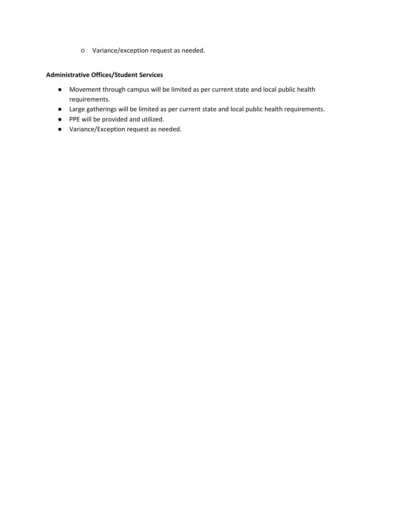○ Variance/exception request as needed.

### **Administrative Offices/Student Services**

- Movement through campus will be limited as per current state and local public health requirements.
- Large gatherings will be limited as per current state and local public health requirements.
- PPE will be provided and utilized.
- Variance/Exception request as needed.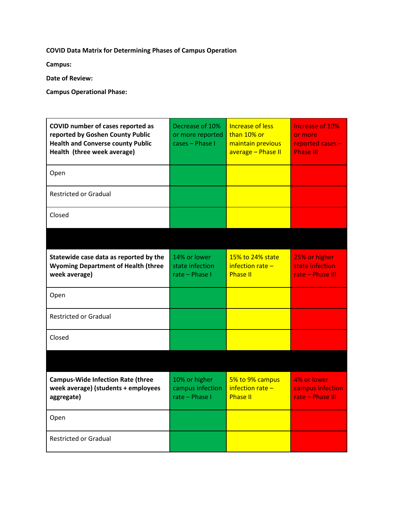**COVID Data Matrix for Determining Phases of Campus Operation**

**Campus:**

**Date of Review:**

**Campus Operational Phase:**

| COVID number of cases reported as<br>reported by Goshen County Public<br><b>Health and Converse county Public</b><br>Health (three week average) | Decrease of 10%<br>or more reported<br>cases - Phase I | <b>Increase of less</b><br>than 10% or<br>maintain previous<br>average - Phase II | Increase of 10%<br>or more<br>reported cases -<br><b>Phase III</b> |
|--------------------------------------------------------------------------------------------------------------------------------------------------|--------------------------------------------------------|-----------------------------------------------------------------------------------|--------------------------------------------------------------------|
| Open                                                                                                                                             |                                                        |                                                                                   |                                                                    |
| <b>Restricted or Gradual</b>                                                                                                                     |                                                        |                                                                                   |                                                                    |
| Closed                                                                                                                                           |                                                        |                                                                                   |                                                                    |
|                                                                                                                                                  |                                                        |                                                                                   |                                                                    |
| Statewide case data as reported by the<br><b>Wyoming Department of Health (three</b><br>week average)                                            | 14% or lower<br>state infection<br>rate - Phase I      | 15% to 24% state<br>infection rate $-$<br><b>Phase II</b>                         | 25% or higher<br>state infection<br>rate - Phase III               |
| Open                                                                                                                                             |                                                        |                                                                                   |                                                                    |
| <b>Restricted or Gradual</b>                                                                                                                     |                                                        |                                                                                   |                                                                    |
| Closed                                                                                                                                           |                                                        |                                                                                   |                                                                    |
|                                                                                                                                                  |                                                        |                                                                                   |                                                                    |
| <b>Campus-Wide Infection Rate (three</b><br>week average) (students + employees<br>aggregate)                                                    | 10% or higher<br>campus infection<br>rate - Phase I    | 5% to 9% campus<br>infection rate $-$<br><b>Phase II</b>                          | 4% or lower<br>campus infection<br>rate - Phase III                |
| Open                                                                                                                                             |                                                        |                                                                                   |                                                                    |
| <b>Restricted or Gradual</b>                                                                                                                     |                                                        |                                                                                   |                                                                    |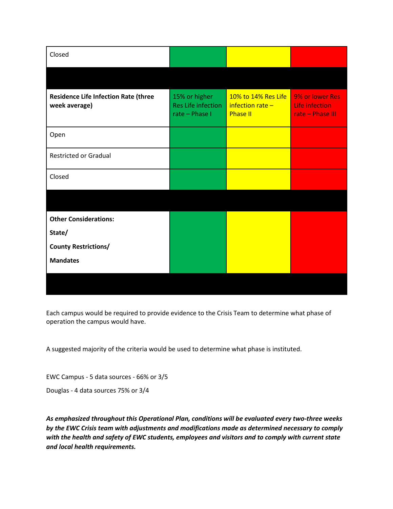| Closed                                                       |                                                       |                                                             |                                                       |
|--------------------------------------------------------------|-------------------------------------------------------|-------------------------------------------------------------|-------------------------------------------------------|
|                                                              |                                                       |                                                             |                                                       |
| <b>Residence Life Infection Rate (three</b><br>week average) | 15% or higher<br>Res Life infection<br>rate - Phase I | 10% to 14% Res Life<br>$interior rate -$<br><b>Phase II</b> | 9% or lower Res<br>Life infection<br>rate - Phase III |
| Open                                                         |                                                       |                                                             |                                                       |
| <b>Restricted or Gradual</b>                                 |                                                       |                                                             |                                                       |
| Closed                                                       |                                                       |                                                             |                                                       |
|                                                              |                                                       |                                                             |                                                       |
| <b>Other Considerations:</b>                                 |                                                       |                                                             |                                                       |
| State/                                                       |                                                       |                                                             |                                                       |
| <b>County Restrictions/</b>                                  |                                                       |                                                             |                                                       |
| <b>Mandates</b>                                              |                                                       |                                                             |                                                       |
|                                                              |                                                       |                                                             |                                                       |

Each campus would be required to provide evidence to the Crisis Team to determine what phase of operation the campus would have.

A suggested majority of the criteria would be used to determine what phase is instituted.

EWC Campus - 5 data sources - 66% or 3/5

Douglas - 4 data sources 75% or 3/4

*As emphasized throughout this Operational Plan, conditions will be evaluated every two-three weeks by the EWC Crisis team with adjustments and modifications made as determined necessary to comply with the health and safety of EWC students, employees and visitors and to comply with current state and local health requirements.*